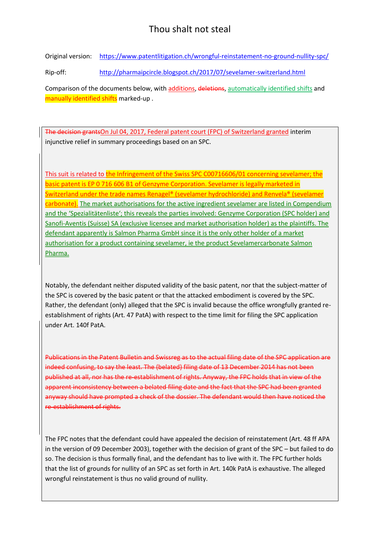## Thou shalt not steal

Original version: <https://www.patentlitigation.ch/wrongful-reinstatement-no-ground-nullity-spc/>

Rip-off: <http://pharmaipcircle.blogspot.ch/2017/07/sevelamer-switzerland.html>

Comparison of the documents below, with additions, deletions, automatically identified shifts and manually identified shifts marked-up.

The decision grantsOn Jul 04, 2017, Federal patent court (FPC) of Switzerland granted interim injunctive relief in summary proceedings based on an SPC.

This suit is related to the Infringement of the Swiss SPC C00716606/01 concerning sevelamer; the basic patent is EP 0 716 606 B1 of Genzyme Corporation. Sevelamer is legally marketed in Switzerland under the trade names Renagel® (sevelamer hydrochloride) and Renvela® (sevelamer carbonate). The market authorisations for the active ingredient sevelamer are listed in Compendium and the 'Spezialitätenliste'; this reveals the parties involved: Genzyme Corporation (SPC holder) and Sanofi-Aventis (Suisse) SA (exclusive licensee and market authorisation holder) as the plaintiffs. The defendant apparently is Salmon Pharma GmbH since it is the only other holder of a market authorisation for a product containing sevelamer, ie the product Sevelamercarbonate Salmon Pharma.

Notably, the defendant neither disputed validity of the basic patent, nor that the subject-matter of the SPC is covered by the basic patent or that the attacked embodiment is covered by the SPC. Rather, the defendant (only) alleged that the SPC is invalid because the office wrongfully granted reestablishment of rights (Art. 47 PatA) with respect to the time limit for filing the SPC application under Art. 140f PatA.

Publications in the Patent Bulletin and Swissreg as to the actual filing date of the SPC application are indeed confusing, to say the least. The (belated) filing date of 13 December 2014 has not been published at all, nor has the re-establishment of rights. Anyway, the FPC holds that in view of the apparent inconsistency between a belated filing date and the fact that the SPC had been granted anyway should have prompted a check of the dossier. The defendant would then have noticed the re-establishment of rights.

The FPC notes that the defendant could have appealed the decision of reinstatement (Art. 48 ff APA in the version of 09 December 2003), together with the decision of grant of the SPC – but failed to do so. The decision is thus formally final, and the defendant has to live with it. The FPC further holds that the list of grounds for nullity of an SPC as set forth in Art. 140k PatA is exhaustive. The alleged wrongful reinstatement is thus no valid ground of nullity.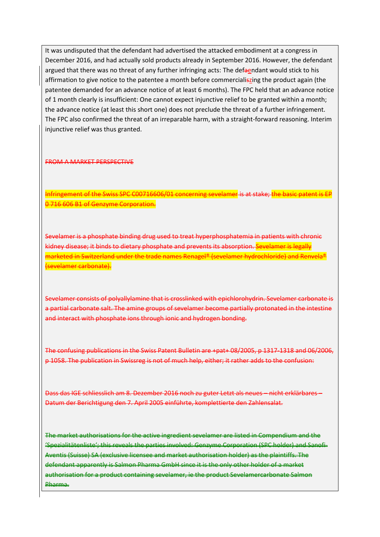It was undisputed that the defendant had advertised the attacked embodiment at a congress in December 2016, and had actually sold products already in September 2016. However, the defendant argued that there was no threat of any further infringing acts: The defaendant would stick to his affirmation to give notice to the patentee a month before commercialiszing the product again (the patentee demanded for an advance notice of at least 6 months). The FPC held that an advance notice of 1 month clearly is insufficient: One cannot expect injunctive relief to be granted within a month; the advance notice (at least this short one) does not preclude the threat of a further infringement. The FPC also confirmed the threat of an irreparable harm, with a straight-forward reasoning. Interim injunctive relief was thus granted.

## FROM A MARKET PERSPECTIVE

Infringement of the Swiss SPC C00716606/01 concerning sevelamer is at stake; the basic patent is EP 0 716 606 B1 of Genzyme Corporation.

Sevelamer is a phosphate binding drug used to treat hyperphosphatemia in patients with chronic kidney disease; it binds to dietary phosphate and prevents its absorption. Sevelamer is legally marketed in Switzerland under the trade names Renagel® (sevelamer hydrochloride) and Renvela® (sevelamer carbonate).

Sevelamer consists of polyallylamine that is crosslinked with epichlorohydrin. Sevelamer carbonate is a partial carbonate salt. The amine groups of sevelamer become partially protonated in the intestine and interact with phosphate ions through ionic and hydrogen bonding.

The confusing publications in the Swiss Patent Bulletin are +pat+ 08/2005, p 1317-1318 and 06/2006, p 1058. The publication in Swissreg is not of much help, either; it rather adds to the confusion:

Dass das IGE schliesslich am 8. Dezember 2016 noch zu guter Letzt als neues – nicht erklärbares – Datum der Berichtigung den 7. April 2005 einführte, komplettierte den Zahlensalat.

The market authorisations for the active ingredient sevelamer are listed in Compendium and the 'Spezialitätenliste'; this reveals the parties involved: Genzyme Corporation (SPC holder) and Sanofi-Aventis (Suisse) SA (exclusive licensee and market authorisation holder) as the plaintiffs. The defendant apparently is Salmon Pharma GmbH since it is the only other holder of a market authorisation for a product containing sevelamer, ie the product Sevelamercarbonate Salmon Pharma.